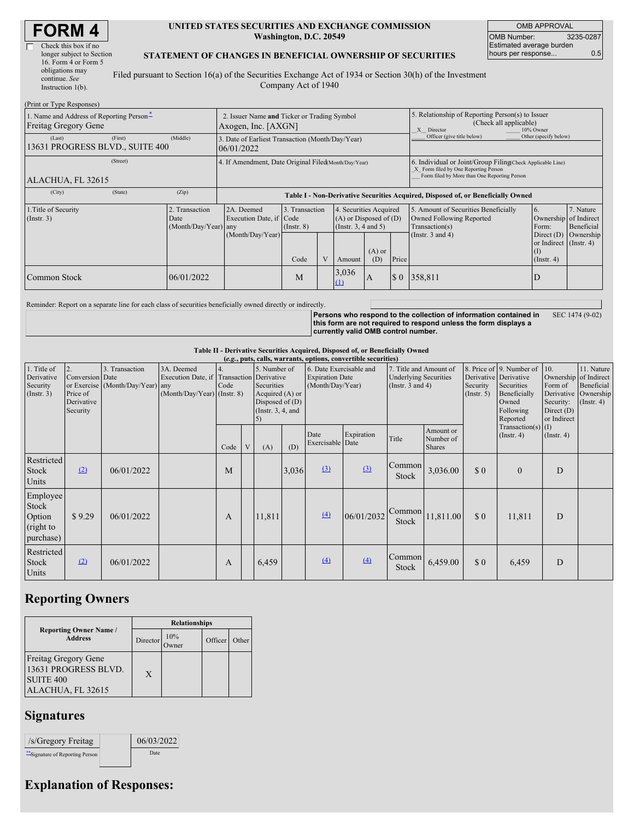| <b>FORM4</b> |  |
|--------------|--|
|--------------|--|

 $\overline{\Gamma}$ 

| Check this box if no      |  |
|---------------------------|--|
| longer subject to Section |  |
| 16. Form 4 or Form 5      |  |
| obligations may           |  |
| continue. See             |  |
| Instruction $l(b)$ .      |  |
|                           |  |

#### **UNITED STATES SECURITIES AND EXCHANGE COMMISSION Washington, D.C. 20549**

OMB APPROVAL OMB Number: 3235-0287 Estimated average burden hours per response... 0.5

#### **STATEMENT OF CHANGES IN BENEFICIAL OWNERSHIP OF SECURITIES**

Filed pursuant to Section 16(a) of the Securities Exchange Act of 1934 or Section 30(h) of the Investment Company Act of 1940

| (Print or Type Responses)                                        |                                                                    |                                                                |                                   |  |                                                                              |                                                                                                       |       |                                                                                                                                                    |                                                                             |                         |  |
|------------------------------------------------------------------|--------------------------------------------------------------------|----------------------------------------------------------------|-----------------------------------|--|------------------------------------------------------------------------------|-------------------------------------------------------------------------------------------------------|-------|----------------------------------------------------------------------------------------------------------------------------------------------------|-----------------------------------------------------------------------------|-------------------------|--|
| 1. Name and Address of Reporting Person-<br>Freitag Gregory Gene | 2. Issuer Name and Ticker or Trading Symbol<br>Axogen, Inc. [AXGN] |                                                                |                                   |  |                                                                              | 5. Relationship of Reporting Person(s) to Issuer<br>(Check all applicable)<br>X Director<br>10% Owner |       |                                                                                                                                                    |                                                                             |                         |  |
| (First)<br>(Last)<br>13631 PROGRESS BLVD., SUITE 400             | (Middle)                                                           | 3. Date of Earliest Transaction (Month/Day/Year)<br>06/01/2022 |                                   |  |                                                                              |                                                                                                       |       | Officer (give title below)                                                                                                                         | Other (specify below)                                                       |                         |  |
| (Street)<br>ALACHUA, FL 32615                                    |                                                                    | 4. If Amendment, Date Original Filed(Month/Day/Year)           |                                   |  |                                                                              |                                                                                                       |       | 6. Individual or Joint/Group Filing(Check Applicable Line)<br>X Form filed by One Reporting Person<br>Form filed by More than One Reporting Person |                                                                             |                         |  |
| (State)<br>(City)                                                | (Zip)                                                              |                                                                |                                   |  |                                                                              |                                                                                                       |       | Table I - Non-Derivative Securities Acquired, Disposed of, or Beneficially Owned                                                                   |                                                                             |                         |  |
| 1. Title of Security<br>$($ Instr. 3 $)$                         | 2. Transaction<br>Date<br>(Month/Day/Year) any                     | 2A. Deemed<br>Execution Date, if Code                          | 3. Transaction<br>$($ Instr. $8)$ |  | 4. Securities Acquired<br>$(A)$ or Disposed of $(D)$<br>(Insert. 3, 4 and 5) |                                                                                                       |       | 5. Amount of Securities Beneficially<br>Owned Following Reported<br>Transaction(s)                                                                 | 16.<br>Ownership of Indirect<br>Form:                                       | 7. Nature<br>Beneficial |  |
|                                                                  |                                                                    | (Month/Day/Year)                                               | Code                              |  | Amount                                                                       | $(A)$ or<br>(D)                                                                                       | Price | (Instr. $3$ and $4$ )                                                                                                                              | Direct $(D)$ Ownership<br>or Indirect (Instr. 4)<br>(I)<br>$($ Instr. 4 $)$ |                         |  |
| Common Stock                                                     | 06/01/2022                                                         |                                                                | M                                 |  | 3,036<br>$\Omega$                                                            | A                                                                                                     | \$0\$ | 358,811                                                                                                                                            | D                                                                           |                         |  |

Reminder: Report on a separate line for each class of securities beneficially owned directly or indirectly.

**Persons who respond to the collection of information contained in this form are not required to respond unless the form displays a currently valid OMB control number.** SEC 1474 (9-02)

#### **Table II - Derivative Securities Acquired, Disposed of, or Beneficially Owned**

|                                                           | (e.g., puts, calls, warrants, options, convertible securities) |                                                    |                                                                                        |                          |   |                                                                                           |       |                                                                       |            |                                                                                 |                                         |                                                                                                                                                   |                                          |                                                            |                                                                                               |
|-----------------------------------------------------------|----------------------------------------------------------------|----------------------------------------------------|----------------------------------------------------------------------------------------|--------------------------|---|-------------------------------------------------------------------------------------------|-------|-----------------------------------------------------------------------|------------|---------------------------------------------------------------------------------|-----------------------------------------|---------------------------------------------------------------------------------------------------------------------------------------------------|------------------------------------------|------------------------------------------------------------|-----------------------------------------------------------------------------------------------|
| 1. Title of<br>Derivative<br>Security<br>$($ Instr. 3 $)$ | 2.<br>Conversion Date<br>Price of<br>Derivative<br>Security    | 3. Transaction<br>or Exercise (Month/Day/Year) any | 3A. Deemed<br>Execution Date, if Transaction Derivative<br>(Month/Day/Year) (Instr. 8) | $\overline{4}$ .<br>Code |   | 5. Number of<br>Securities<br>Acquired $(A)$ or<br>Disposed of $(D)$<br>(Instr. 3, 4, and |       | 6. Date Exercisable and<br><b>Expiration Date</b><br>(Month/Day/Year) |            | 7. Title and Amount of<br><b>Underlying Securities</b><br>(Instr. $3$ and $4$ ) |                                         | 8. Price of 9. Number of<br>Derivative Derivative<br>Securities<br>Security<br>Beneficially<br>$($ Instr. 5 $)$<br>Owned<br>Following<br>Reported |                                          | 10.<br>Form of<br>Security:<br>Direct $(D)$<br>or Indirect | 11. Nature<br>Ownership of Indirect<br>Beneficial<br>Derivative Ownership<br>$($ Instr. 4 $)$ |
|                                                           |                                                                |                                                    |                                                                                        | Code                     | V | (A)                                                                                       | (D)   | Date<br>Exercisable Date                                              | Expiration | Title                                                                           | Amount or<br>Number of<br><b>Shares</b> |                                                                                                                                                   | Transaction(s) $(I)$<br>$($ Instr. 4 $)$ | $($ Instr. 4 $)$                                           |                                                                                               |
| Restricted<br>Stock<br>Units                              | (2)                                                            | 06/01/2022                                         |                                                                                        | M                        |   |                                                                                           | 3,036 | $\Omega$                                                              | $\Omega$   | Common<br>Stock                                                                 | 3,036.00                                | \$0                                                                                                                                               | $\Omega$                                 | D                                                          |                                                                                               |
| Employee<br>Stock<br>Option<br>(right to<br>purchase)     | \$9.29                                                         | 06/01/2022                                         |                                                                                        | A                        |   | 11,811                                                                                    |       | (4)                                                                   | 06/01/2032 | Common<br>Stock                                                                 | 11,811.00                               | \$0                                                                                                                                               | 11,811                                   | D                                                          |                                                                                               |
| Restricted<br>Stock<br>Units                              | (2)                                                            | 06/01/2022                                         |                                                                                        | A                        |   | 6,459                                                                                     |       | (4)                                                                   | (4)        | Common<br>Stock                                                                 | 6,459.00                                | \$0                                                                                                                                               | 6,459                                    | D                                                          |                                                                                               |

## **Reporting Owners**

|                                                                                              | <b>Relationships</b> |             |         |       |  |  |  |
|----------------------------------------------------------------------------------------------|----------------------|-------------|---------|-------|--|--|--|
| <b>Reporting Owner Name /</b><br><b>Address</b>                                              | Director             | 10%<br>wner | Officer | Other |  |  |  |
| <b>Freitag Gregory Gene</b><br>13631 PROGRESS BLVD.<br><b>SUITE 400</b><br>ALACHUA, FL 32615 | X                    |             |         |       |  |  |  |

## **Signatures**

| /s/Gregory Freitag               | 06/03/2022  |
|----------------------------------|-------------|
| ** Signature of Reporting Person | <b>Date</b> |

# **Explanation of Responses:**